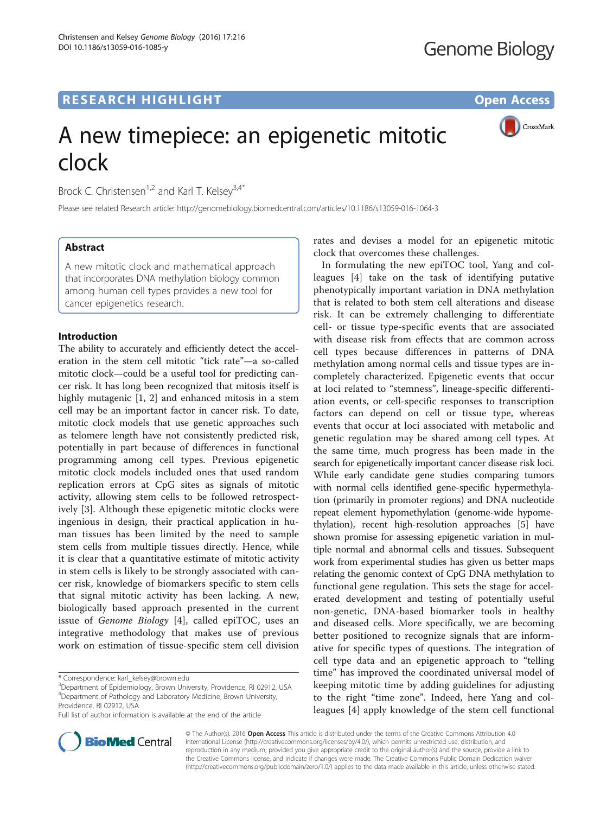CrossMark

## **RESEARCH HIGHLIGHT** THE OPEN ACCESS OPEN ACCESS

# A new timepiece: an epigenetic mitotic clock

Brock C. Christensen<sup>1,2</sup> and Karl T. Kelsey<sup>3,4\*</sup>

Please see related Research article: [http://genomebiology.biomedcentral.com/articles/10.1186/s13059-016-1064-3](http://dx.doi.org/10.1126/science.1260825)

## Abstract

A new mitotic clock and mathematical approach that incorporates DNA methylation biology common among human cell types provides a new tool for cancer epigenetics research.

## Introduction

The ability to accurately and efficiently detect the acceleration in the stem cell mitotic "tick rate"—a so-called mitotic clock—could be a useful tool for predicting cancer risk. It has long been recognized that mitosis itself is highly mutagenic [[1, 2](#page-2-0)] and enhanced mitosis in a stem cell may be an important factor in cancer risk. To date, mitotic clock models that use genetic approaches such as telomere length have not consistently predicted risk, potentially in part because of differences in functional programming among cell types. Previous epigenetic mitotic clock models included ones that used random replication errors at CpG sites as signals of mitotic activity, allowing stem cells to be followed retrospectively [[3](#page-2-0)]. Although these epigenetic mitotic clocks were ingenious in design, their practical application in human tissues has been limited by the need to sample stem cells from multiple tissues directly. Hence, while it is clear that a quantitative estimate of mitotic activity in stem cells is likely to be strongly associated with cancer risk, knowledge of biomarkers specific to stem cells that signal mitotic activity has been lacking. A new, biologically based approach presented in the current issue of Genome Biology [\[4](#page-2-0)], called epiTOC, uses an integrative methodology that makes use of previous work on estimation of tissue-specific stem cell division



In formulating the new epiTOC tool, Yang and colleagues [\[4](#page-2-0)] take on the task of identifying putative phenotypically important variation in DNA methylation that is related to both stem cell alterations and disease risk. It can be extremely challenging to differentiate cell- or tissue type-specific events that are associated with disease risk from effects that are common across cell types because differences in patterns of DNA methylation among normal cells and tissue types are incompletely characterized. Epigenetic events that occur at loci related to "stemness", lineage-specific differentiation events, or cell-specific responses to transcription factors can depend on cell or tissue type, whereas events that occur at loci associated with metabolic and genetic regulation may be shared among cell types. At the same time, much progress has been made in the search for epigenetically important cancer disease risk loci. While early candidate gene studies comparing tumors with normal cells identified gene-specific hypermethylation (primarily in promoter regions) and DNA nucleotide repeat element hypomethylation (genome-wide hypomethylation), recent high-resolution approaches [[5\]](#page-2-0) have shown promise for assessing epigenetic variation in multiple normal and abnormal cells and tissues. Subsequent work from experimental studies has given us better maps relating the genomic context of CpG DNA methylation to functional gene regulation. This sets the stage for accelerated development and testing of potentially useful non-genetic, DNA-based biomarker tools in healthy and diseased cells. More specifically, we are becoming better positioned to recognize signals that are informative for specific types of questions. The integration of cell type data and an epigenetic approach to "telling time" has improved the coordinated universal model of keeping mitotic time by adding guidelines for adjusting to the right "time zone". Indeed, here Yang and colleagues [[4\]](#page-2-0) apply knowledge of the stem cell functional



© The Author(s). 2016 Open Access This article is distributed under the terms of the Creative Commons Attribution 4.0 International License [\(http://creativecommons.org/licenses/by/4.0/](http://creativecommons.org/licenses/by/4.0/)), which permits unrestricted use, distribution, and reproduction in any medium, provided you give appropriate credit to the original author(s) and the source, provide a link to the Creative Commons license, and indicate if changes were made. The Creative Commons Public Domain Dedication waiver [\(http://creativecommons.org/publicdomain/zero/1.0/](http://creativecommons.org/publicdomain/zero/1.0/)) applies to the data made available in this article, unless otherwise stated.

<sup>\*</sup> Correspondence: [karl\\_kelsey@brown.edu](mailto:karl_kelsey@brown.edu) <sup>3</sup>

<sup>&</sup>lt;sup>3</sup>Department of Epidemiology, Brown University, Providence, RI 02912, USA 4 Department of Pathology and Laboratory Medicine, Brown University, Providence, RI 02912, USA

Full list of author information is available at the end of the article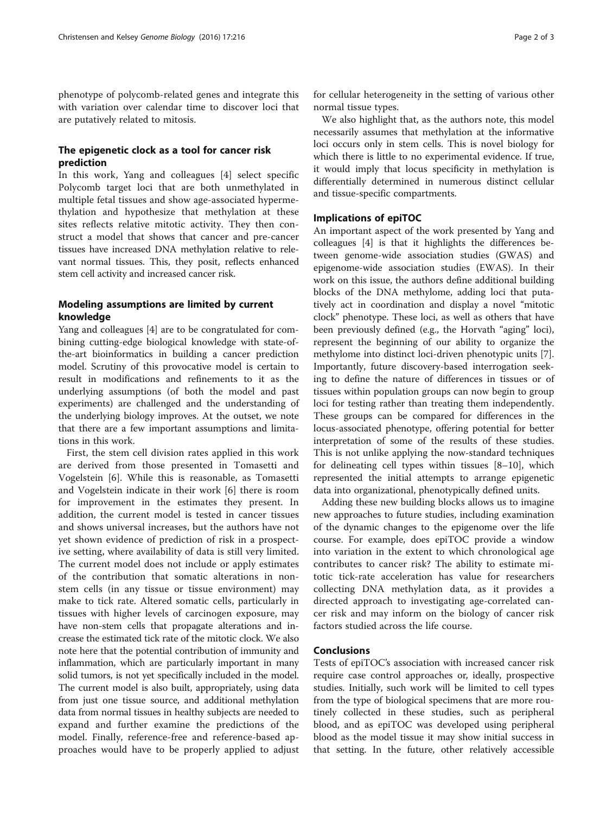phenotype of polycomb-related genes and integrate this with variation over calendar time to discover loci that are putatively related to mitosis.

## The epigenetic clock as a tool for cancer risk prediction

In this work, Yang and colleagues [\[4](#page-2-0)] select specific Polycomb target loci that are both unmethylated in multiple fetal tissues and show age-associated hypermethylation and hypothesize that methylation at these sites reflects relative mitotic activity. They then construct a model that shows that cancer and pre-cancer tissues have increased DNA methylation relative to relevant normal tissues. This, they posit, reflects enhanced stem cell activity and increased cancer risk.

## Modeling assumptions are limited by current knowledge

Yang and colleagues [\[4](#page-2-0)] are to be congratulated for combining cutting-edge biological knowledge with state-ofthe-art bioinformatics in building a cancer prediction model. Scrutiny of this provocative model is certain to result in modifications and refinements to it as the underlying assumptions (of both the model and past experiments) are challenged and the understanding of the underlying biology improves. At the outset, we note that there are a few important assumptions and limitations in this work.

First, the stem cell division rates applied in this work are derived from those presented in Tomasetti and Vogelstein [\[6](#page-2-0)]. While this is reasonable, as Tomasetti and Vogelstein indicate in their work [\[6](#page-2-0)] there is room for improvement in the estimates they present. In addition, the current model is tested in cancer tissues and shows universal increases, but the authors have not yet shown evidence of prediction of risk in a prospective setting, where availability of data is still very limited. The current model does not include or apply estimates of the contribution that somatic alterations in nonstem cells (in any tissue or tissue environment) may make to tick rate. Altered somatic cells, particularly in tissues with higher levels of carcinogen exposure, may have non-stem cells that propagate alterations and increase the estimated tick rate of the mitotic clock. We also note here that the potential contribution of immunity and inflammation, which are particularly important in many solid tumors, is not yet specifically included in the model. The current model is also built, appropriately, using data from just one tissue source, and additional methylation data from normal tissues in healthy subjects are needed to expand and further examine the predictions of the model. Finally, reference-free and reference-based approaches would have to be properly applied to adjust for cellular heterogeneity in the setting of various other normal tissue types.

We also highlight that, as the authors note, this model necessarily assumes that methylation at the informative loci occurs only in stem cells. This is novel biology for which there is little to no experimental evidence. If true, it would imply that locus specificity in methylation is differentially determined in numerous distinct cellular and tissue-specific compartments.

### Implications of epiTOC

An important aspect of the work presented by Yang and colleagues [[4\]](#page-2-0) is that it highlights the differences between genome-wide association studies (GWAS) and epigenome-wide association studies (EWAS). In their work on this issue, the authors define additional building blocks of the DNA methylome, adding loci that putatively act in coordination and display a novel "mitotic clock" phenotype. These loci, as well as others that have been previously defined (e.g., the Horvath "aging" loci), represent the beginning of our ability to organize the methylome into distinct loci-driven phenotypic units [\[7](#page-2-0)]. Importantly, future discovery-based interrogation seeking to define the nature of differences in tissues or of tissues within population groups can now begin to group loci for testing rather than treating them independently. These groups can be compared for differences in the locus-associated phenotype, offering potential for better interpretation of some of the results of these studies. This is not unlike applying the now-standard techniques for delineating cell types within tissues [[8](#page-2-0)–[10\]](#page-2-0), which represented the initial attempts to arrange epigenetic data into organizational, phenotypically defined units.

Adding these new building blocks allows us to imagine new approaches to future studies, including examination of the dynamic changes to the epigenome over the life course. For example, does epiTOC provide a window into variation in the extent to which chronological age contributes to cancer risk? The ability to estimate mitotic tick-rate acceleration has value for researchers collecting DNA methylation data, as it provides a directed approach to investigating age-correlated cancer risk and may inform on the biology of cancer risk factors studied across the life course.

## Conclusions

Tests of epiTOC's association with increased cancer risk require case control approaches or, ideally, prospective studies. Initially, such work will be limited to cell types from the type of biological specimens that are more routinely collected in these studies, such as peripheral blood, and as epiTOC was developed using peripheral blood as the model tissue it may show initial success in that setting. In the future, other relatively accessible